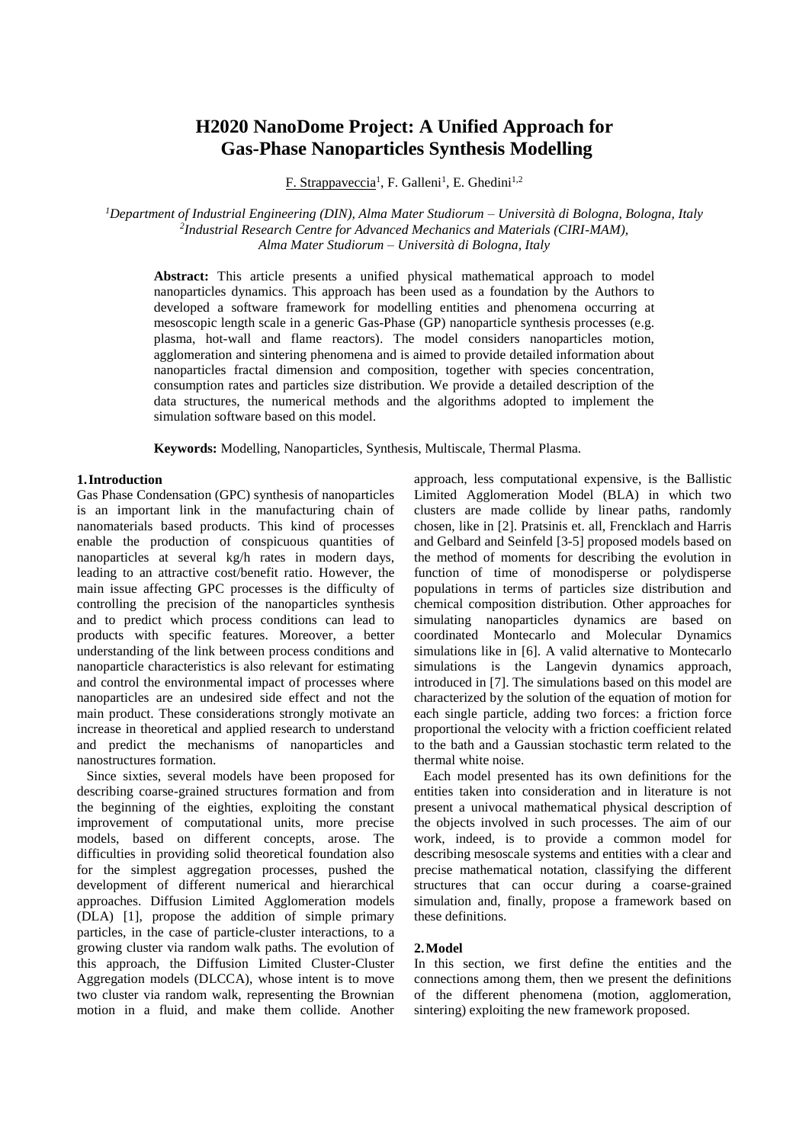# **H2020 NanoDome Project: A Unified Approach for Gas-Phase Nanoparticles Synthesis Modelling**

F. Strappaveccia<sup>1</sup>, F. Galleni<sup>1</sup>, E. Ghedini<sup>1,2</sup>

*<sup>1</sup>Department of Industrial Engineering (DIN), Alma Mater Studiorum – Università di Bologna, Bologna, Italy 2 Industrial Research Centre for Advanced Mechanics and Materials (CIRI-MAM), Alma Mater Studiorum – Università di Bologna, Italy*

**Abstract:** This article presents a unified physical mathematical approach to model nanoparticles dynamics. This approach has been used as a foundation by the Authors to developed a software framework for modelling entities and phenomena occurring at mesoscopic length scale in a generic Gas-Phase (GP) nanoparticle synthesis processes (e.g. plasma, hot-wall and flame reactors). The model considers nanoparticles motion, agglomeration and sintering phenomena and is aimed to provide detailed information about nanoparticles fractal dimension and composition, together with species concentration, consumption rates and particles size distribution. We provide a detailed description of the data structures, the numerical methods and the algorithms adopted to implement the simulation software based on this model.

**Keywords:** Modelling, Nanoparticles, Synthesis, Multiscale, Thermal Plasma.

# **1.Introduction**

Gas Phase Condensation (GPC) synthesis of nanoparticles is an important link in the manufacturing chain of nanomaterials based products. This kind of processes enable the production of conspicuous quantities of nanoparticles at several kg/h rates in modern days, leading to an attractive cost/benefit ratio. However, the main issue affecting GPC processes is the difficulty of controlling the precision of the nanoparticles synthesis and to predict which process conditions can lead to products with specific features. Moreover, a better understanding of the link between process conditions and nanoparticle characteristics is also relevant for estimating and control the environmental impact of processes where nanoparticles are an undesired side effect and not the main product. These considerations strongly motivate an increase in theoretical and applied research to understand and predict the mechanisms of nanoparticles and nanostructures formation.

Since sixties, several models have been proposed for describing coarse-grained structures formation and from the beginning of the eighties, exploiting the constant improvement of computational units, more precise models, based on different concepts, arose. The difficulties in providing solid theoretical foundation also for the simplest aggregation processes, pushed the development of different numerical and hierarchical approaches. Diffusion Limited Agglomeration models (DLA) [1], propose the addition of simple primary particles, in the case of particle-cluster interactions, to a growing cluster via random walk paths. The evolution of this approach, the Diffusion Limited Cluster-Cluster Aggregation models (DLCCA), whose intent is to move two cluster via random walk, representing the Brownian motion in a fluid, and make them collide. Another approach, less computational expensive, is the Ballistic Limited Agglomeration Model (BLA) in which two clusters are made collide by linear paths, randomly chosen, like in [2]. Pratsinis et. all, Frencklach and Harris and Gelbard and Seinfeld [3-5] proposed models based on the method of moments for describing the evolution in function of time of monodisperse or polydisperse populations in terms of particles size distribution and chemical composition distribution. Other approaches for simulating nanoparticles dynamics are based on coordinated Montecarlo and Molecular Dynamics simulations like in [6]. A valid alternative to Montecarlo simulations is the Langevin dynamics approach, introduced in [7]. The simulations based on this model are characterized by the solution of the equation of motion for each single particle, adding two forces: a friction force proportional the velocity with a friction coefficient related to the bath and a Gaussian stochastic term related to the thermal white noise.

Each model presented has its own definitions for the entities taken into consideration and in literature is not present a univocal mathematical physical description of the objects involved in such processes. The aim of our work, indeed, is to provide a common model for describing mesoscale systems and entities with a clear and precise mathematical notation, classifying the different structures that can occur during a coarse-grained simulation and, finally, propose a framework based on these definitions.

## **2.Model**

In this section, we first define the entities and the connections among them, then we present the definitions of the different phenomena (motion, agglomeration, sintering) exploiting the new framework proposed.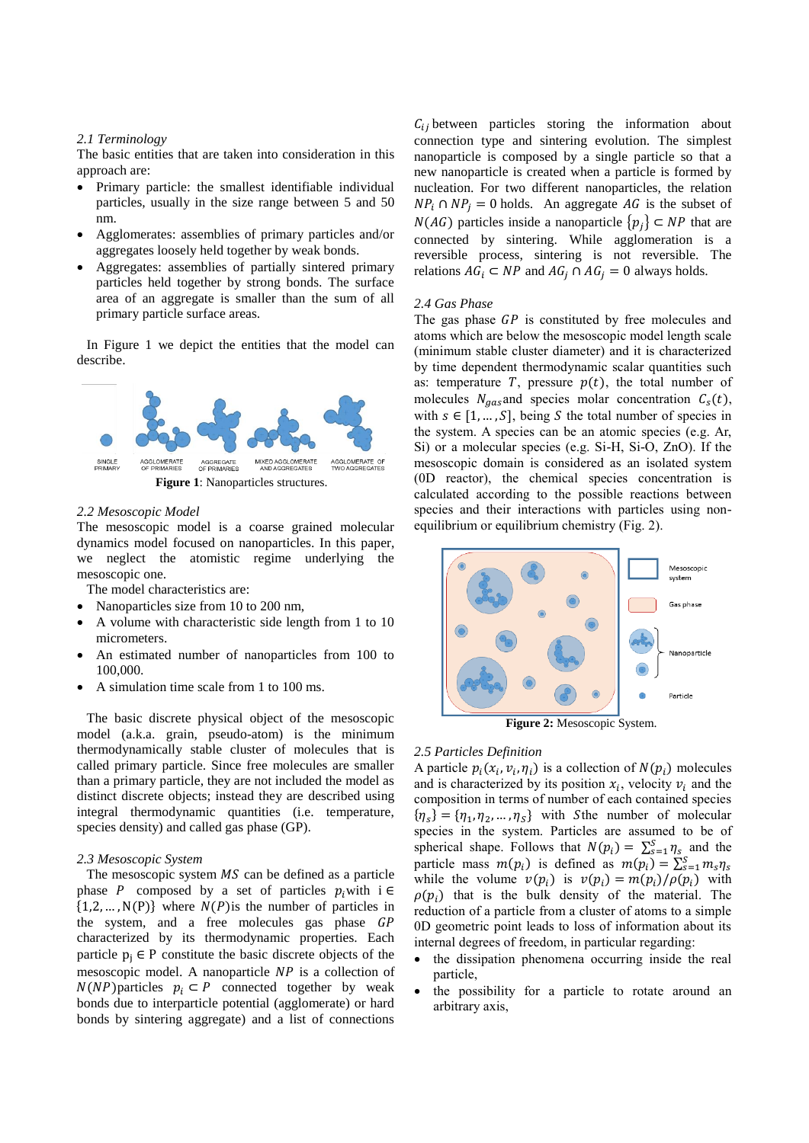#### *2.1 Terminology*

The basic entities that are taken into consideration in this approach are:

- Primary particle: the smallest identifiable individual particles, usually in the size range between 5 and 50 nm.
- Agglomerates: assemblies of primary particles and/or aggregates loosely held together by weak bonds.
- Aggregates: assemblies of partially sintered primary particles held together by strong bonds. The surface area of an aggregate is smaller than the sum of all primary particle surface areas.

In Figure 1 we depict the entities that the model can describe.



#### *2.2 Mesoscopic Model*

The mesoscopic model is a coarse grained molecular dynamics model focused on nanoparticles. In this paper, we neglect the atomistic regime underlying the mesoscopic one.

The model characteristics are:

- Nanoparticles size from 10 to 200 nm,
- A volume with characteristic side length from 1 to 10 micrometers.
- An estimated number of nanoparticles from 100 to 100,000.
- A simulation time scale from 1 to 100 ms.

The basic discrete physical object of the mesoscopic model (a.k.a. grain, pseudo-atom) is the minimum thermodynamically stable cluster of molecules that is called primary particle. Since free molecules are smaller than a primary particle, they are not included the model as distinct discrete objects; instead they are described using integral thermodynamic quantities (i.e. temperature, species density) and called gas phase (GP).

#### *2.3 Mesoscopic System*

The mesoscopic system  $MS$  can be defined as a particle phase P composed by a set of particles  $p_i$  with i ∈  $\{1,2,...,N(P)\}\$  where  $N(P)$  is the number of particles in the system, and a free molecules gas phase GP characterized by its thermodynamic properties. Each particle  $p_i \in P$  constitute the basic discrete objects of the mesoscopic model. A nanoparticle  $NP$  is a collection of  $N(NP)$  particles  $p_i \subset P$  connected together by weak bonds due to interparticle potential (agglomerate) or hard bonds by sintering aggregate) and a list of connections

 $C_{ij}$  between particles storing the information about connection type and sintering evolution. The simplest nanoparticle is composed by a single particle so that a new nanoparticle is created when a particle is formed by nucleation. For two different nanoparticles, the relation  $NP_i \cap NP_j = 0$  holds. An aggregate AG is the subset of  $N(AG)$  particles inside a nanoparticle  $\{p_j\} \subset NP$  that are connected by sintering. While agglomeration is a reversible process, sintering is not reversible. The relations  $AG_i \subset NP$  and  $AG_j \cap AG_j = 0$  always holds.

#### *2.4 Gas Phase*

The gas phase  $GP$  is constituted by free molecules and atoms which are below the mesoscopic model length scale (minimum stable cluster diameter) and it is characterized by time dependent thermodynamic scalar quantities such as: temperature  $T$ , pressure  $p(t)$ , the total number of molecules  $N_{gas}$  and species molar concentration  $C_s(t)$ , with  $s \in [1, ..., S]$ , being S the total number of species in the system. A species can be an atomic species (e.g. Ar, Si) or a molecular species (e.g. Si-H, Si-O, ZnO). If the mesoscopic domain is considered as an isolated system (0D reactor), the chemical species concentration is calculated according to the possible reactions between species and their interactions with particles using nonequilibrium or equilibrium chemistry (Fig. 2).



**Figure 2:** Mesoscopic System.

#### *2.5 Particles Definition*

A particle  $p_i(x_i, v_i, \eta_i)$  is a collection of  $N(p_i)$  molecules and is characterized by its position  $x_i$ , velocity  $v_i$  and the composition in terms of number of each contained species  ${\eta_s} = {\eta_1, \eta_2, ..., \eta_s}$  with Sthe number of molecular species in the system. Particles are assumed to be of spherical shape. Follows that  $N(p_i) = \sum_{s=1}^{S} \eta_s$  and the particle mass  $m(p_i)$  is defined as  $m(p_i) = \sum_{s=1}^{S} m_s \eta_s$ while the volume  $v(p_i)$  is  $v(p_i) = m(p_i)/\rho(p_i)$  with  $\rho(p_i)$  that is the bulk density of the material. The reduction of a particle from a cluster of atoms to a simple 0D geometric point leads to loss of information about its internal degrees of freedom, in particular regarding:

- the dissipation phenomena occurring inside the real particle,
- the possibility for a particle to rotate around an arbitrary axis,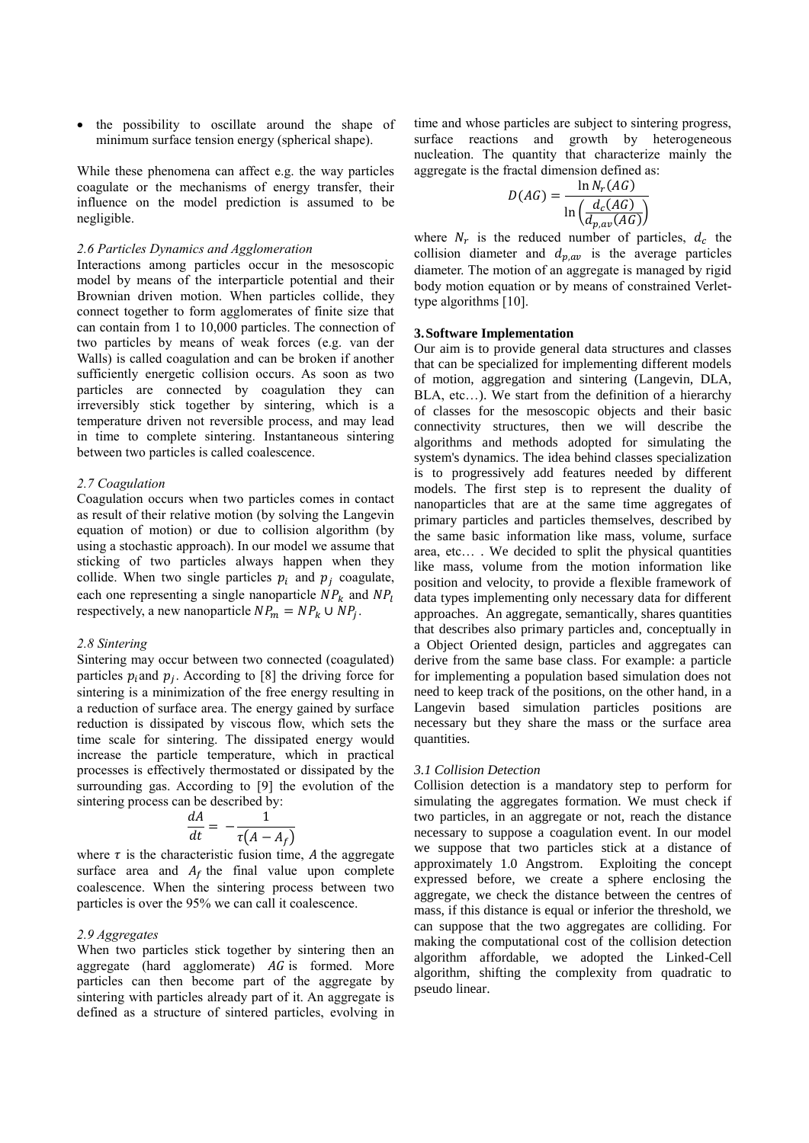• the possibility to oscillate around the shape of minimum surface tension energy (spherical shape).

While these phenomena can affect e.g. the way particles coagulate or the mechanisms of energy transfer, their influence on the model prediction is assumed to be negligible.

## *2.6 Particles Dynamics and Agglomeration*

Interactions among particles occur in the mesoscopic model by means of the interparticle potential and their Brownian driven motion. When particles collide, they connect together to form agglomerates of finite size that can contain from 1 to 10,000 particles. The connection of two particles by means of weak forces (e.g. van der Walls) is called coagulation and can be broken if another sufficiently energetic collision occurs. As soon as two particles are connected by coagulation they can irreversibly stick together by sintering, which is a temperature driven not reversible process, and may lead in time to complete sintering. Instantaneous sintering between two particles is called coalescence.

## *2.7 Coagulation*

Coagulation occurs when two particles comes in contact as result of their relative motion (by solving the Langevin equation of motion) or due to collision algorithm (by using a stochastic approach). In our model we assume that sticking of two particles always happen when they collide. When two single particles  $p_i$  and  $p_j$  coagulate, each one representing a single nanoparticle  $NP_k$  and  $NP_l$ respectively, a new nanoparticle  $NP_m = NP_k \cup NP_j$ .

## *2.8 Sintering*

Sintering may occur between two connected (coagulated) particles  $p_i$  and  $p_j$ . According to [8] the driving force for sintering is a minimization of the free energy resulting in a reduction of surface area. The energy gained by surface reduction is dissipated by viscous flow, which sets the time scale for sintering. The dissipated energy would increase the particle temperature, which in practical processes is effectively thermostated or dissipated by the surrounding gas. According to [9] the evolution of the sintering process can be described by:

$$
\frac{dA}{dt} = -\frac{1}{\tau(A - A_f)}
$$

where  $\tau$  is the characteristic fusion time, A the aggregate surface area and  $A_f$  the final value upon complete coalescence. When the sintering process between two particles is over the 95% we can call it coalescence.

## *2.9 Aggregates*

When two particles stick together by sintering then an aggregate (hard agglomerate)  $\overline{AG}$  is formed. More particles can then become part of the aggregate by sintering with particles already part of it. An aggregate is defined as a structure of sintered particles, evolving in time and whose particles are subject to sintering progress, surface reactions and growth by heterogeneous nucleation. The quantity that characterize mainly the aggregate is the fractal dimension defined as:

$$
D(AG) = \frac{\ln N_r(AG)}{\ln \left(\frac{d_c(AG)}{d_{p,av}(AG)}\right)}
$$

where  $N_r$  is the reduced number of particles,  $d_c$  the collision diameter and  $d_{p,av}$  is the average particles diameter. The motion of an aggregate is managed by rigid body motion equation or by means of constrained Verlettype algorithms [10].

# **3.Software Implementation**

Our aim is to provide general data structures and classes that can be specialized for implementing different models of motion, aggregation and sintering (Langevin, DLA, BLA, etc…). We start from the definition of a hierarchy of classes for the mesoscopic objects and their basic connectivity structures, then we will describe the algorithms and methods adopted for simulating the system's dynamics. The idea behind classes specialization is to progressively add features needed by different models. The first step is to represent the duality of nanoparticles that are at the same time aggregates of primary particles and particles themselves, described by the same basic information like mass, volume, surface area, etc… . We decided to split the physical quantities like mass, volume from the motion information like position and velocity, to provide a flexible framework of data types implementing only necessary data for different approaches. An aggregate, semantically, shares quantities that describes also primary particles and, conceptually in a Object Oriented design, particles and aggregates can derive from the same base class. For example: a particle for implementing a population based simulation does not need to keep track of the positions, on the other hand, in a Langevin based simulation particles positions are necessary but they share the mass or the surface area quantities.

## *3.1 Collision Detection*

Collision detection is a mandatory step to perform for simulating the aggregates formation. We must check if two particles, in an aggregate or not, reach the distance necessary to suppose a coagulation event. In our model we suppose that two particles stick at a distance of approximately 1.0 Angstrom. Exploiting the concept expressed before, we create a sphere enclosing the aggregate, we check the distance between the centres of mass, if this distance is equal or inferior the threshold, we can suppose that the two aggregates are colliding. For making the computational cost of the collision detection algorithm affordable, we adopted the Linked-Cell algorithm, shifting the complexity from quadratic to pseudo linear.